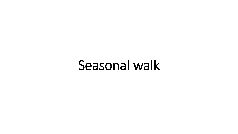# Seasonal walk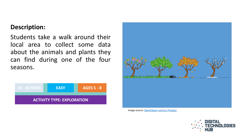#### **Description:**

Students take a walk around their local area to collect some data about the animals and plants they can find during one of the four seasons.





Image source: [OpenClipart-vectors/ Pixabay](https://pixabay.com/vectors/seasons-four-seasons-tree-nature-158601/)

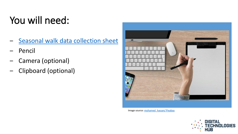### You will need:

- [Seasonal walk data collection sheet](http://www.digitaltechnologieshub.edu.au/docs/default-source/family-tasks/seasons-walk-worksheet.pdf)
- ‒ Pencil
- ‒ Camera (optional)
- ‒ Clipboard (optional)



Image source: mohamed hassan/ Pixabay

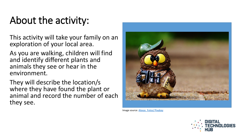#### About the activity:

This activity will take your family on an exploration of your local area.

As you are walking, children will find and identify different plants and animals they see or hear in the environment.

They will describe the location/s where they have found the plant or animal and record the number of each they see.



Image source: [Alexas\\_Fotos/ Pixabay](https://pixabay.com/photos/owl-photographer-photograph-tourist-964011/)

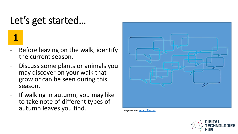### Let's get started…

**1**

- Before leaving on the walk, identify the current season.
- Discuss some plants or animals you may discover on your walk that grow or can be seen during this season.
- If walking in autumn, you may like to take note of different types of autumn leaves you find. **Image source: [geralt/ Pixabay](https://pixabay.com/en/group-team-feedback-confirming-3354366/)**



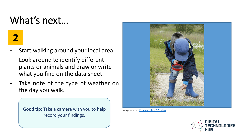#### What's next…

## **2**

- Start walking around your local area.
- Look around to identify different plants or animals and draw or write what you find on the data sheet.
- Take note of the type of weather on the day you walk.

**Good tip:** Take a camera with you to help record your findings.



Image source: [Efraimstochter/ Pixabay](https://pixabay.com/photos/detective-magnifying-glass-viewing-788592/)

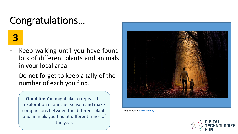#### Congratulations…

**3**

- Keep walking until you have found lots of different plants and animals in your local area.
- Do not forget to keep a tally of the number of each you find.

**Good tip:** You might like to repeat this exploration in another season and make comparisons between the different plants and animals you find at different times of the year.



Image source: [ljcor/ Pixabay](https://pixabay.com/photos/father-son-walk-child-boy-family-2770301/)

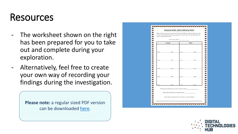#### Resources

- The worksheet shown on the right has been prepared for you to take out and complete during your exploration.
- Alternatively, feel free to create your own way of recording your findings during the investigation.

**Please note:** a regular sized PDF version can be downloaded [here.](http://www.digitaltechnologieshub.edu.au/docs/default-source/family-tasks/seasons-walk-worksheet.pdf)